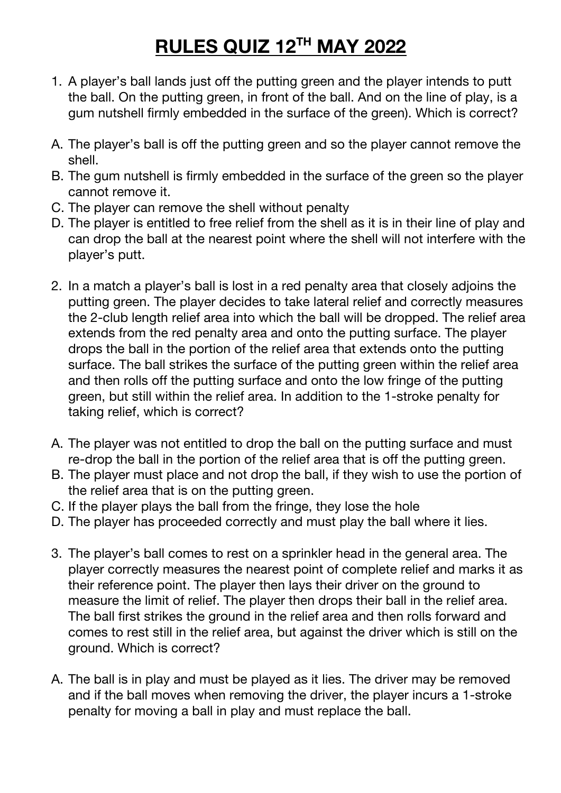## **RULES QUIZ 12TH MAY 2022**

- 1. A player's ball lands just off the putting green and the player intends to putt the ball. On the putting green, in front of the ball. And on the line of play, is a gum nutshell firmly embedded in the surface of the green). Which is correct?
- A. The player's ball is off the putting green and so the player cannot remove the shell.
- B. The gum nutshell is firmly embedded in the surface of the green so the player cannot remove it.
- C. The player can remove the shell without penalty
- D. The player is entitled to free relief from the shell as it is in their line of play and can drop the ball at the nearest point where the shell will not interfere with the player's putt.
- 2. In a match a player's ball is lost in a red penalty area that closely adjoins the putting green. The player decides to take lateral relief and correctly measures the 2-club length relief area into which the ball will be dropped. The relief area extends from the red penalty area and onto the putting surface. The player drops the ball in the portion of the relief area that extends onto the putting surface. The ball strikes the surface of the putting green within the relief area and then rolls off the putting surface and onto the low fringe of the putting green, but still within the relief area. In addition to the 1-stroke penalty for taking relief, which is correct?
- A. The player was not entitled to drop the ball on the putting surface and must re-drop the ball in the portion of the relief area that is off the putting green.
- B. The player must place and not drop the ball, if they wish to use the portion of the relief area that is on the putting green.
- C. If the player plays the ball from the fringe, they lose the hole
- D. The player has proceeded correctly and must play the ball where it lies.
- 3. The player's ball comes to rest on a sprinkler head in the general area. The player correctly measures the nearest point of complete relief and marks it as their reference point. The player then lays their driver on the ground to measure the limit of relief. The player then drops their ball in the relief area. The ball first strikes the ground in the relief area and then rolls forward and comes to rest still in the relief area, but against the driver which is still on the ground. Which is correct?
- A. The ball is in play and must be played as it lies. The driver may be removed and if the ball moves when removing the driver, the player incurs a 1-stroke penalty for moving a ball in play and must replace the ball.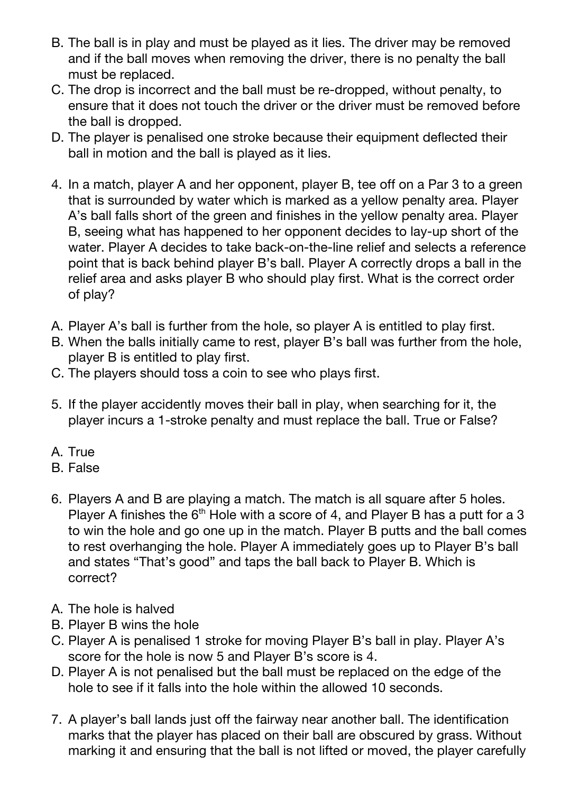- B. The ball is in play and must be played as it lies. The driver may be removed and if the ball moves when removing the driver, there is no penalty the ball must be replaced.
- C. The drop is incorrect and the ball must be re-dropped, without penalty, to ensure that it does not touch the driver or the driver must be removed before the ball is dropped.
- D. The player is penalised one stroke because their equipment deflected their ball in motion and the ball is played as it lies.
- 4. In a match, player A and her opponent, player B, tee off on a Par 3 to a green that is surrounded by water which is marked as a yellow penalty area. Player A's ball falls short of the green and finishes in the yellow penalty area. Player B, seeing what has happened to her opponent decides to lay-up short of the water. Player A decides to take back-on-the-line relief and selects a reference point that is back behind player B's ball. Player A correctly drops a ball in the relief area and asks player B who should play first. What is the correct order of play?
- A. Player A's ball is further from the hole, so player A is entitled to play first.
- B. When the balls initially came to rest, player B's ball was further from the hole, player B is entitled to play first.
- C. The players should toss a coin to see who plays first.
- 5. If the player accidently moves their ball in play, when searching for it, the player incurs a 1-stroke penalty and must replace the ball. True or False?
- A. True
- B. False
- 6. Players A and B are playing a match. The match is all square after 5 holes. Player A finishes the  $6<sup>th</sup>$  Hole with a score of 4, and Player B has a putt for a 3 to win the hole and go one up in the match. Player B putts and the ball comes to rest overhanging the hole. Player A immediately goes up to Player B's ball and states "That's good" and taps the ball back to Player B. Which is correct?
- A. The hole is halved
- B. Player B wins the hole
- C. Player A is penalised 1 stroke for moving Player B's ball in play. Player A's score for the hole is now 5 and Player B's score is 4.
- D. Player A is not penalised but the ball must be replaced on the edge of the hole to see if it falls into the hole within the allowed 10 seconds.
- 7. A player's ball lands just off the fairway near another ball. The identification marks that the player has placed on their ball are obscured by grass. Without marking it and ensuring that the ball is not lifted or moved, the player carefully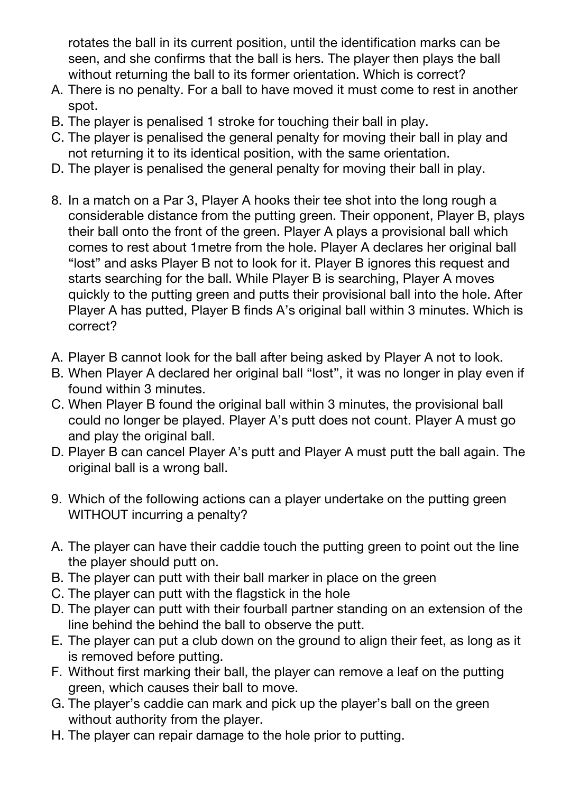rotates the ball in its current position, until the identification marks can be seen, and she confirms that the ball is hers. The player then plays the ball without returning the ball to its former orientation. Which is correct?

- A. There is no penalty. For a ball to have moved it must come to rest in another spot.
- B. The player is penalised 1 stroke for touching their ball in play.
- C. The player is penalised the general penalty for moving their ball in play and not returning it to its identical position, with the same orientation.
- D. The player is penalised the general penalty for moving their ball in play.
- 8. In a match on a Par 3, Player A hooks their tee shot into the long rough a considerable distance from the putting green. Their opponent, Player B, plays their ball onto the front of the green. Player A plays a provisional ball which comes to rest about 1metre from the hole. Player A declares her original ball "lost" and asks Player B not to look for it. Player B ignores this request and starts searching for the ball. While Player B is searching, Player A moves quickly to the putting green and putts their provisional ball into the hole. After Player A has putted, Player B finds A's original ball within 3 minutes. Which is correct?
- A. Player B cannot look for the ball after being asked by Player A not to look.
- B. When Player A declared her original ball "lost", it was no longer in play even if found within 3 minutes.
- C. When Player B found the original ball within 3 minutes, the provisional ball could no longer be played. Player A's putt does not count. Player A must go and play the original ball.
- D. Player B can cancel Player A's putt and Player A must putt the ball again. The original ball is a wrong ball.
- 9. Which of the following actions can a player undertake on the putting green WITHOUT incurring a penalty?
- A. The player can have their caddie touch the putting green to point out the line the player should putt on.
- B. The player can putt with their ball marker in place on the green
- C. The player can putt with the flagstick in the hole
- D. The player can putt with their fourball partner standing on an extension of the line behind the behind the ball to observe the putt.
- E. The player can put a club down on the ground to align their feet, as long as it is removed before putting.
- F. Without first marking their ball, the player can remove a leaf on the putting green, which causes their ball to move.
- G. The player's caddie can mark and pick up the player's ball on the green without authority from the player.
- H. The player can repair damage to the hole prior to putting.